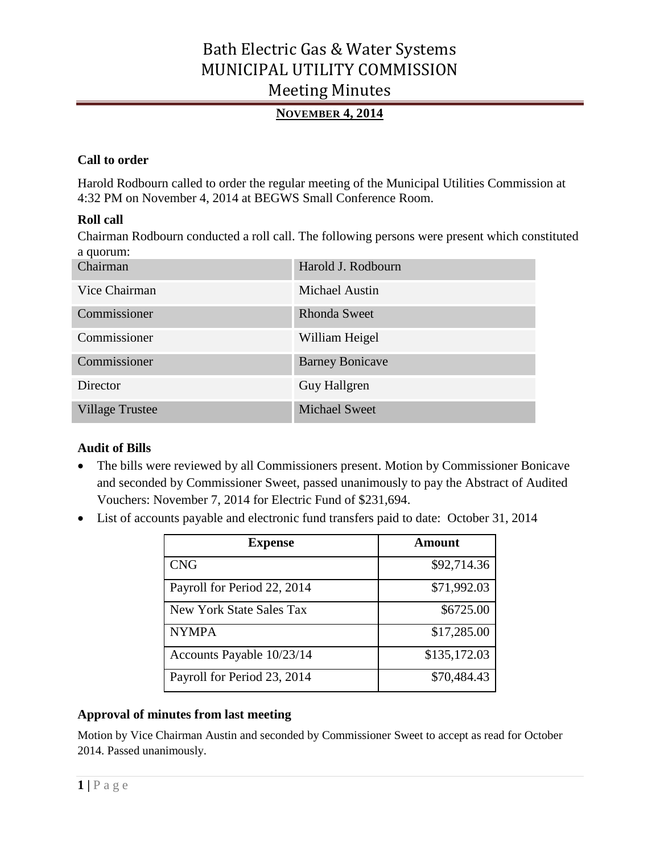## **NOVEMBER 4, 2014**

### **Call to order**

Harold Rodbourn called to order the regular meeting of the Municipal Utilities Commission at 4:32 PM on November 4, 2014 at BEGWS Small Conference Room.

### **Roll call**

Chairman Rodbourn conducted a roll call. The following persons were present which constituted a quorum:

| Chairman               | Harold J. Rodbourn     |
|------------------------|------------------------|
| Vice Chairman          | <b>Michael Austin</b>  |
| Commissioner           | <b>Rhonda Sweet</b>    |
| Commissioner           | William Heigel         |
| Commissioner           | <b>Barney Bonicave</b> |
| Director               | <b>Guy Hallgren</b>    |
| <b>Village Trustee</b> | <b>Michael Sweet</b>   |

#### **Audit of Bills**

- The bills were reviewed by all Commissioners present. Motion by Commissioner Bonicave and seconded by Commissioner Sweet, passed unanimously to pay the Abstract of Audited Vouchers: November 7, 2014 for Electric Fund of \$231,694.
- List of accounts payable and electronic fund transfers paid to date: October 31, 2014

| <b>Expense</b>              | Amount       |
|-----------------------------|--------------|
| <b>CNG</b>                  | \$92,714.36  |
| Payroll for Period 22, 2014 | \$71,992.03  |
| New York State Sales Tax    | \$6725.00    |
| <b>NYMPA</b>                | \$17,285.00  |
| Accounts Payable 10/23/14   | \$135,172.03 |
| Payroll for Period 23, 2014 | \$70,484.43  |

#### **Approval of minutes from last meeting**

Motion by Vice Chairman Austin and seconded by Commissioner Sweet to accept as read for October 2014. Passed unanimously.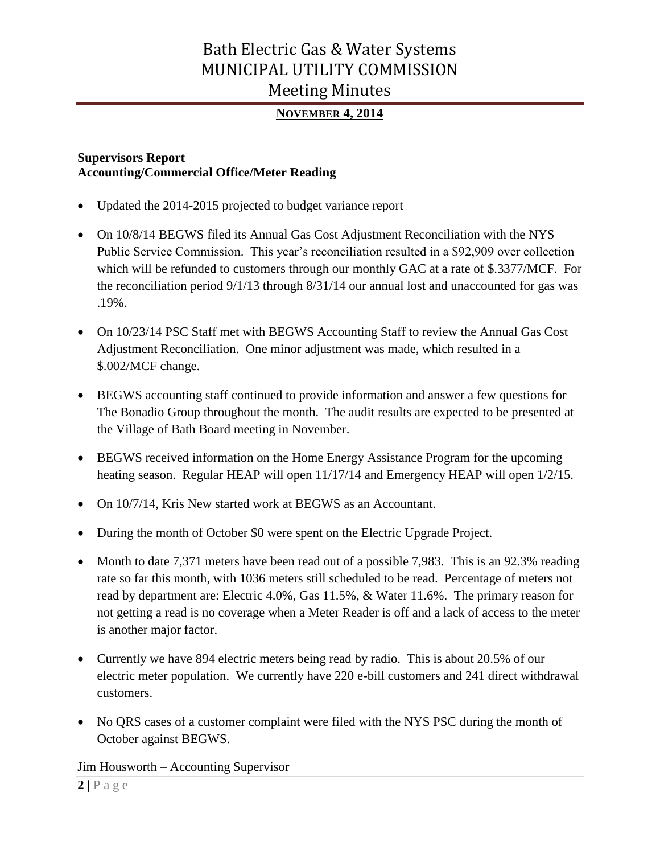## **NOVEMBER 4, 2014**

#### **Supervisors Report Accounting/Commercial Office/Meter Reading**

- Updated the 2014-2015 projected to budget variance report
- On 10/8/14 BEGWS filed its Annual Gas Cost Adjustment Reconciliation with the NYS Public Service Commission. This year's reconciliation resulted in a \$92,909 over collection which will be refunded to customers through our monthly GAC at a rate of \$.3377/MCF. For the reconciliation period 9/1/13 through 8/31/14 our annual lost and unaccounted for gas was .19%.
- On 10/23/14 PSC Staff met with BEGWS Accounting Staff to review the Annual Gas Cost Adjustment Reconciliation. One minor adjustment was made, which resulted in a \$.002/MCF change.
- BEGWS accounting staff continued to provide information and answer a few questions for The Bonadio Group throughout the month. The audit results are expected to be presented at the Village of Bath Board meeting in November.
- BEGWS received information on the Home Energy Assistance Program for the upcoming heating season. Regular HEAP will open 11/17/14 and Emergency HEAP will open 1/2/15.
- On 10/7/14, Kris New started work at BEGWS as an Accountant.
- During the month of October \$0 were spent on the Electric Upgrade Project.
- Month to date 7,371 meters have been read out of a possible 7,983. This is an 92.3% reading rate so far this month, with 1036 meters still scheduled to be read. Percentage of meters not read by department are: Electric 4.0%, Gas 11.5%, & Water 11.6%. The primary reason for not getting a read is no coverage when a Meter Reader is off and a lack of access to the meter is another major factor.
- Currently we have 894 electric meters being read by radio. This is about 20.5% of our electric meter population. We currently have 220 e-bill customers and 241 direct withdrawal customers.
- No QRS cases of a customer complaint were filed with the NYS PSC during the month of October against BEGWS.

Jim Housworth – Accounting Supervisor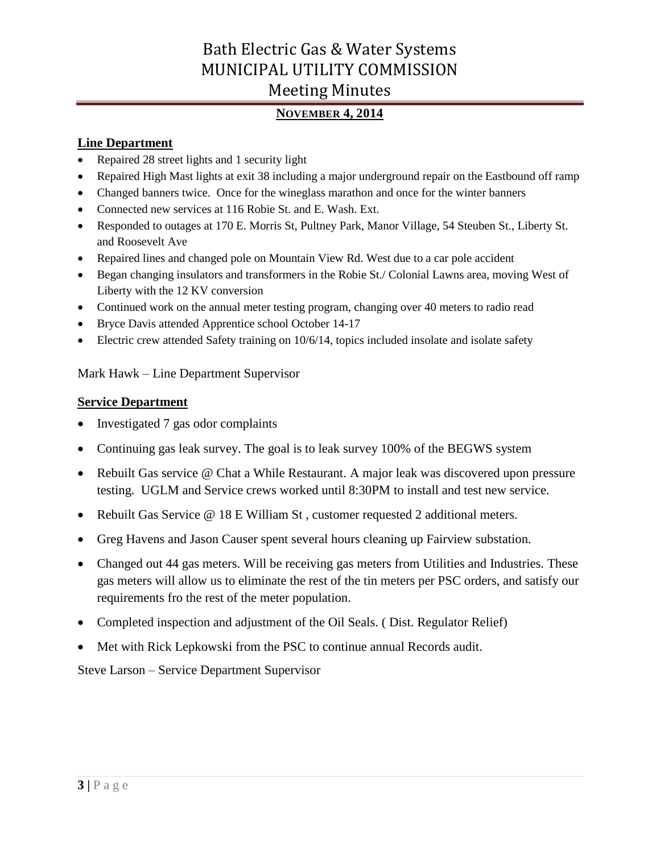## **NOVEMBER 4, 2014**

### **Line Department**

- Repaired 28 street lights and 1 security light
- Repaired High Mast lights at exit 38 including a major underground repair on the Eastbound off ramp
- Changed banners twice. Once for the wineglass marathon and once for the winter banners
- Connected new services at 116 Robie St. and E. Wash. Ext.
- Responded to outages at 170 E. Morris St, Pultney Park, Manor Village, 54 Steuben St., Liberty St. and Roosevelt Ave
- Repaired lines and changed pole on Mountain View Rd. West due to a car pole accident
- Began changing insulators and transformers in the Robie St./ Colonial Lawns area, moving West of Liberty with the 12 KV conversion
- Continued work on the annual meter testing program, changing over 40 meters to radio read
- Bryce Davis attended Apprentice school October 14-17
- Electric crew attended Safety training on 10/6/14, topics included insolate and isolate safety

Mark Hawk – Line Department Supervisor

#### **Service Department**

- Investigated 7 gas odor complaints
- Continuing gas leak survey. The goal is to leak survey 100% of the BEGWS system
- Rebuilt Gas service @ Chat a While Restaurant. A major leak was discovered upon pressure testing. UGLM and Service crews worked until 8:30PM to install and test new service.
- Rebuilt Gas Service @ 18 E William St, customer requested 2 additional meters.
- Greg Havens and Jason Causer spent several hours cleaning up Fairview substation.
- Changed out 44 gas meters. Will be receiving gas meters from Utilities and Industries. These gas meters will allow us to eliminate the rest of the tin meters per PSC orders, and satisfy our requirements fro the rest of the meter population.
- Completed inspection and adjustment of the Oil Seals. ( Dist. Regulator Relief)
- Met with Rick Lepkowski from the PSC to continue annual Records audit.

Steve Larson – Service Department Supervisor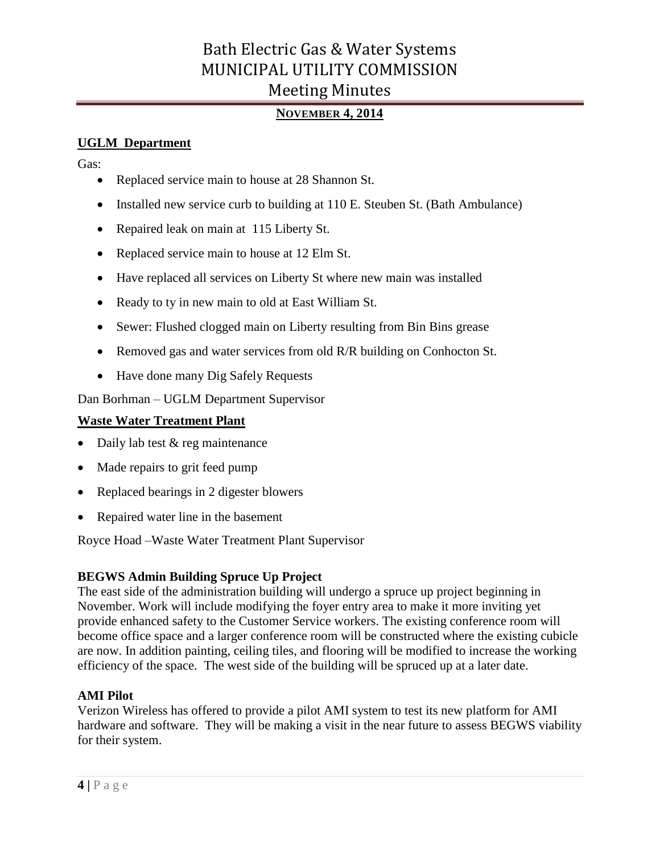## **NOVEMBER 4, 2014**

### **UGLM Department**

Gas:

- Replaced service main to house at 28 Shannon St.
- Installed new service curb to building at 110 E. Steuben St. (Bath Ambulance)
- Repaired leak on main at 115 Liberty St.
- Replaced service main to house at 12 Elm St.
- Have replaced all services on Liberty St where new main was installed
- Ready to ty in new main to old at East William St.
- Sewer: Flushed clogged main on Liberty resulting from Bin Bins grease
- Removed gas and water services from old R/R building on Conhocton St.
- Have done many Dig Safely Requests

Dan Borhman – UGLM Department Supervisor

#### **Waste Water Treatment Plant**

- Daily lab test & reg maintenance
- Made repairs to grit feed pump
- Replaced bearings in 2 digester blowers
- Repaired water line in the basement

Royce Hoad –Waste Water Treatment Plant Supervisor

#### **BEGWS Admin Building Spruce Up Project**

The east side of the administration building will undergo a spruce up project beginning in November. Work will include modifying the foyer entry area to make it more inviting yet provide enhanced safety to the Customer Service workers. The existing conference room will become office space and a larger conference room will be constructed where the existing cubicle are now. In addition painting, ceiling tiles, and flooring will be modified to increase the working efficiency of the space. The west side of the building will be spruced up at a later date.

#### **AMI Pilot**

Verizon Wireless has offered to provide a pilot AMI system to test its new platform for AMI hardware and software. They will be making a visit in the near future to assess BEGWS viability for their system.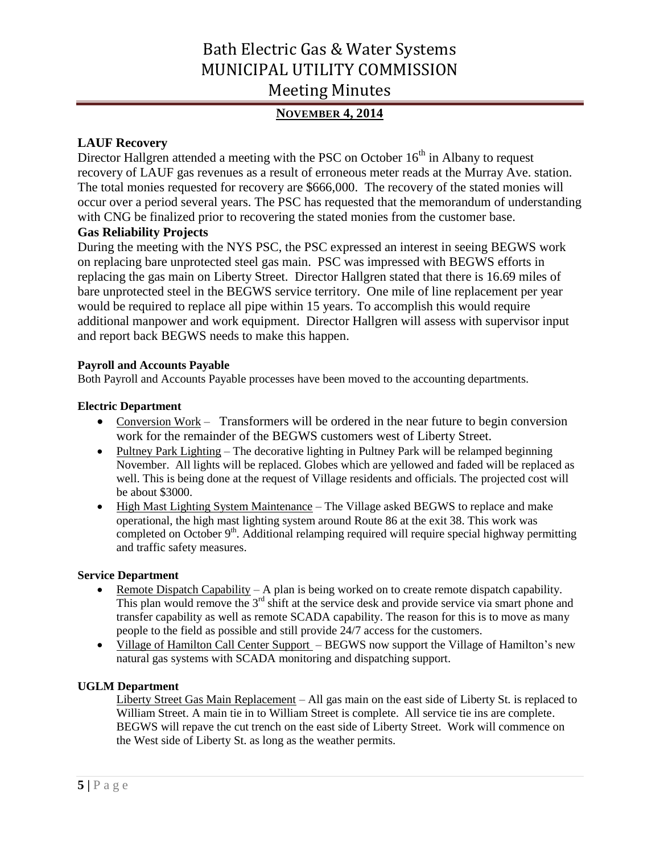## **NOVEMBER 4, 2014**

### **LAUF Recovery**

Director Hallgren attended a meeting with the PSC on October  $16<sup>th</sup>$  in Albany to request recovery of LAUF gas revenues as a result of erroneous meter reads at the Murray Ave. station. The total monies requested for recovery are \$666,000. The recovery of the stated monies will occur over a period several years. The PSC has requested that the memorandum of understanding with CNG be finalized prior to recovering the stated monies from the customer base.

### **Gas Reliability Projects**

During the meeting with the NYS PSC, the PSC expressed an interest in seeing BEGWS work on replacing bare unprotected steel gas main. PSC was impressed with BEGWS efforts in replacing the gas main on Liberty Street. Director Hallgren stated that there is 16.69 miles of bare unprotected steel in the BEGWS service territory. One mile of line replacement per year would be required to replace all pipe within 15 years. To accomplish this would require additional manpower and work equipment. Director Hallgren will assess with supervisor input and report back BEGWS needs to make this happen.

#### **Payroll and Accounts Payable**

Both Payroll and Accounts Payable processes have been moved to the accounting departments.

#### **Electric Department**

- Conversion Work Transformers will be ordered in the near future to begin conversion work for the remainder of the BEGWS customers west of Liberty Street.
- Pultney Park Lighting The decorative lighting in Pultney Park will be relamped beginning November. All lights will be replaced. Globes which are yellowed and faded will be replaced as well. This is being done at the request of Village residents and officials. The projected cost will be about \$3000.
- High Mast Lighting System Maintenance The Village asked BEGWS to replace and make operational, the high mast lighting system around Route 86 at the exit 38. This work was completed on October 9<sup>th</sup>. Additional relamping required will require special highway permitting and traffic safety measures.

#### **Service Department**

- Remote Dispatch Capability A plan is being worked on to create remote dispatch capability. This plan would remove the  $3<sup>rd</sup>$  shift at the service desk and provide service via smart phone and transfer capability as well as remote SCADA capability. The reason for this is to move as many people to the field as possible and still provide 24/7 access for the customers.
- Village of Hamilton Call Center Support BEGWS now support the Village of Hamilton's new natural gas systems with SCADA monitoring and dispatching support.

#### **UGLM Department**

Liberty Street Gas Main Replacement – All gas main on the east side of Liberty St. is replaced to William Street. A main tie in to William Street is complete. All service tie ins are complete. BEGWS will repave the cut trench on the east side of Liberty Street. Work will commence on the West side of Liberty St. as long as the weather permits.